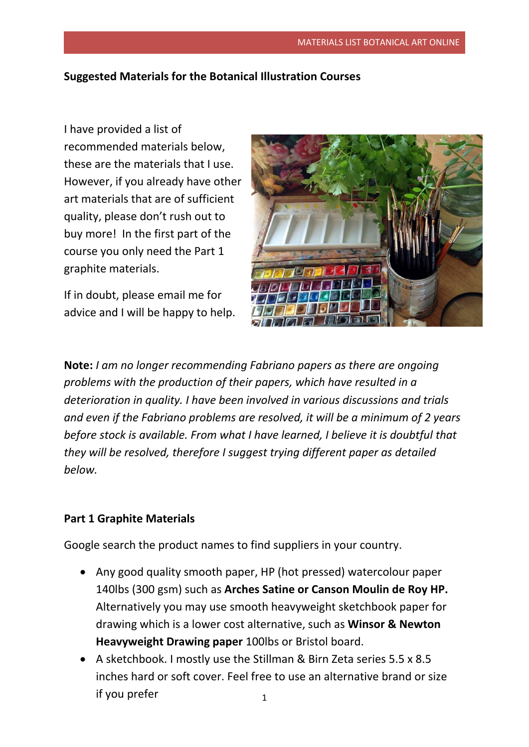## **Suggested Materials for the Botanical Illustration Courses**

I have provided a list of recommended materials below, these are the materials that I use. However, if you already have other art materials that are of sufficient quality, please don't rush out to buy more! In the first part of the course you only need the Part 1 graphite materials.

If in doubt, please email me for advice and I will be happy to help.



**Note:** *I am no longer recommending Fabriano papers as there are ongoing problems with the production of their papers, which have resulted in a deterioration in quality. I have been involved in various discussions and trials and even if the Fabriano problems are resolved, it will be a minimum of 2 years before stock is available. From what I have learned, I believe it is doubtful that they will be resolved, therefore I suggest trying different paper as detailed below.*

## **Part 1 Graphite Materials**

Google search the product names to find suppliers in your country.

- Any good quality smooth paper, HP (hot pressed) watercolour paper 140lbs (300 gsm) such as **Arches Satine or Canson Moulin de Roy HP.** Alternatively you may use smooth heavyweight sketchbook paper for drawing which is a lower cost alternative, such as **Winsor & Newton Heavyweight Drawing paper** 100lbs or Bristol board.
- 1 • A sketchbook. I mostly use the Stillman & Birn Zeta series 5.5 x 8.5 inches hard or soft cover. Feel free to use an alternative brand or size if you prefer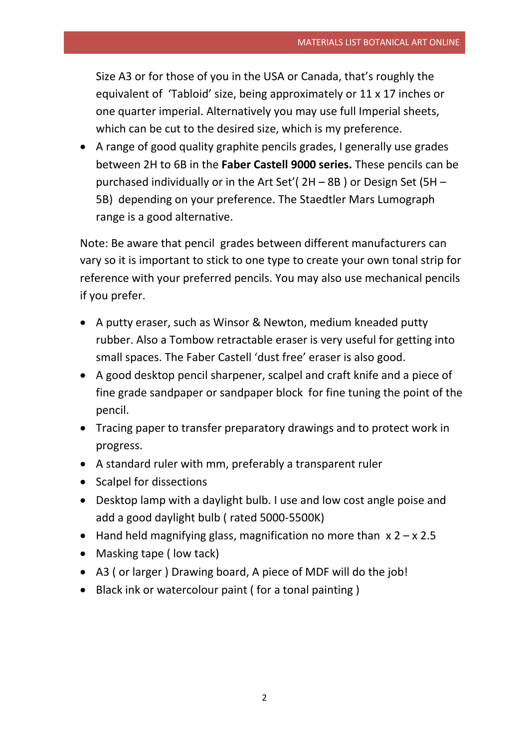Size A3 or for those of you in the USA or Canada, that's roughly the equivalent of 'Tabloid' size, being approximately or 11 x 17 inches or one quarter imperial. Alternatively you may use full Imperial sheets, which can be cut to the desired size, which is my preference.

 A range of good quality graphite pencils grades, I generally use grades between 2H to 6B in the **Faber Castell 9000 series.** These pencils can be purchased individually or in the Art Set'( 2H – 8B ) or Design Set (5H – 5B) depending on your preference. The Staedtler Mars Lumograph range is a good alternative.

Note: Be aware that pencil grades between different manufacturers can vary so it is important to stick to one type to create your own tonal strip for reference with your preferred pencils. You may also use mechanical pencils if you prefer.

- A putty eraser, such as Winsor & Newton, medium kneaded putty rubber. Also a Tombow retractable eraser is very useful for getting into small spaces. The Faber Castell 'dust free' eraser is also good.
- A good desktop pencil sharpener, scalpel and craft knife and a piece of fine grade sandpaper or sandpaper block for fine tuning the point of the pencil.
- Tracing paper to transfer preparatory drawings and to protect work in progress.
- A standard ruler with mm, preferably a transparent ruler
- Scalpel for dissections
- Desktop lamp with a daylight bulb. I use and low cost angle poise and add a good daylight bulb ( rated 5000-5500K)
- Hand held magnifying glass, magnification no more than  $x 2 x 2.5$
- Masking tape ( low tack)
- A3 ( or larger ) Drawing board, A piece of MDF will do the job!
- Black ink or watercolour paint ( for a tonal painting )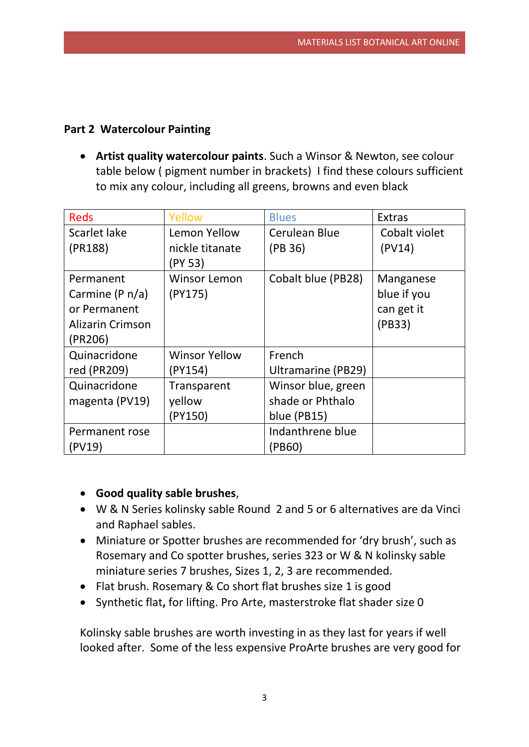## **Part 2 Watercolour Painting**

 **Artist quality watercolour paints**. Such a Winsor & Newton, see colour table below ( pigment number in brackets) I find these colours sufficient to mix any colour, including all greens, browns and even black

| <b>Reds</b>             | Yellow                     | <b>Blues</b>       | <b>Extras</b> |
|-------------------------|----------------------------|--------------------|---------------|
| Scarlet lake            | Lemon Yellow               | Cerulean Blue      | Cobalt violet |
| (PR188)                 | nickle titanate<br>(PY 53) | (PB 36)            | (PV14)        |
| Permanent               | <b>Winsor Lemon</b>        | Cobalt blue (PB28) | Manganese     |
| Carmine (P $n/a$ )      | (PY175)                    |                    | blue if you   |
| or Permanent            |                            |                    | can get it    |
| <b>Alizarin Crimson</b> |                            |                    | (PB33)        |
| (PR206)                 |                            |                    |               |
| Quinacridone            | <b>Winsor Yellow</b>       | French             |               |
| red (PR209)             | (PY154)                    | Ultramarine (PB29) |               |
| Quinacridone            | Transparent                | Winsor blue, green |               |
| magenta (PV19)          | yellow                     | shade or Phthalo   |               |
|                         | (PY150)                    | blue (PB15)        |               |
| Permanent rose          |                            | Indanthrene blue   |               |
| (PV19)                  |                            | (PB60)             |               |

- **Good quality sable brushes**,
- W & N Series kolinsky sable Round 2 and 5 or 6 alternatives are da Vinci and Raphael sables.
- Miniature or Spotter brushes are recommended for 'dry brush', such as Rosemary and Co spotter brushes, series 323 or W & N kolinsky sable miniature series 7 brushes, Sizes 1, 2, 3 are recommended.
- Flat brush. Rosemary & Co short flat brushes size 1 is good
- Synthetic flat**,** for lifting. Pro Arte, masterstroke flat shader size 0

Kolinsky sable brushes are worth investing in as they last for years if well looked after. Some of the less expensive ProArte brushes are very good for